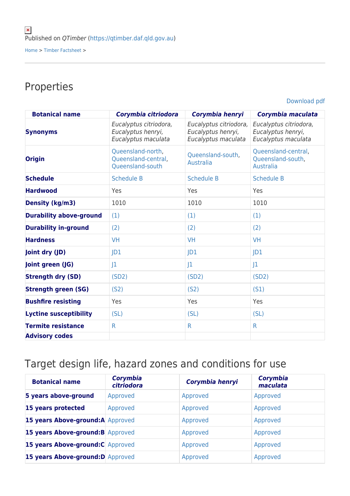## Properties

[Download pdf](https://qtimber.daf.qld.gov.au/printpdf/timber-factsheet/gum, spotted)

| <b>Botanical name</b>          | Corymbia citriodora                                                 | Corymbia henryi                                                     | Corymbia maculata                                                   |
|--------------------------------|---------------------------------------------------------------------|---------------------------------------------------------------------|---------------------------------------------------------------------|
| <b>Synonyms</b>                | Eucalyptus citriodora,<br>Eucalyptus henryi,<br>Eucalyptus maculata | Eucalyptus citriodora,<br>Eucalyptus henryi,<br>Eucalyptus maculata | Eucalyptus citriodora,<br>Eucalyptus henryi,<br>Eucalyptus maculata |
| <b>Origin</b>                  | Queensland-north,<br>Queensland-central,<br>Queensland-south        | Queensland-south,<br><b>Australia</b>                               | Queensland-central,<br>Queensland-south,<br><b>Australia</b>        |
| <b>Schedule</b>                | <b>Schedule B</b>                                                   | <b>Schedule B</b>                                                   | <b>Schedule B</b>                                                   |
| <b>Hardwood</b>                | Yes                                                                 | Yes                                                                 | Yes                                                                 |
| <b>Density (kg/m3)</b>         | 1010                                                                | 1010                                                                | 1010                                                                |
| <b>Durability above-ground</b> | (1)                                                                 | (1)                                                                 | (1)                                                                 |
| <b>Durability in-ground</b>    | (2)                                                                 | (2)                                                                 | (2)                                                                 |
| <b>Hardness</b>                | <b>VH</b>                                                           | <b>VH</b>                                                           | <b>VH</b>                                                           |
| Joint dry (JD)                 | D1                                                                  | D1                                                                  | D1                                                                  |
| Joint green (JG)               | 1                                                                   | 1                                                                   | 1                                                                   |
| <b>Strength dry (SD)</b>       | (SD2)                                                               | (SD2)                                                               | (SD2)                                                               |
| <b>Strength green (SG)</b>     | (S <sub>2</sub> )                                                   | (S <sub>2</sub> )                                                   | (S1)                                                                |
| <b>Bushfire resisting</b>      | Yes                                                                 | Yes                                                                 | Yes                                                                 |
| <b>Lyctine susceptibility</b>  | (SL)                                                                | (SL)                                                                | (SL)                                                                |
| <b>Termite resistance</b>      | $\mathsf{R}$                                                        | R.                                                                  | $\mathsf{R}$                                                        |
| <b>Advisory codes</b>          |                                                                     |                                                                     |                                                                     |

## Target design life, hazard zones and conditions for use

| <b>Botanical name</b>             | Corymbia<br>citriodora | Corymbia henryi | <b>Corymbia</b><br>maculata |
|-----------------------------------|------------------------|-----------------|-----------------------------|
| 5 years above-ground              | Approved               | Approved        | Approved                    |
| 15 years protected                | Approved               | Approved        | Approved                    |
| 15 years Above-ground:A Approved  |                        | Approved        | Approved                    |
| 15 years Above-ground: B Approved |                        | Approved        | Approved                    |
| 15 years Above-ground: C Approved |                        | Approved        | Approved                    |
| 15 years Above-ground: D Approved |                        | Approved        | Approved                    |